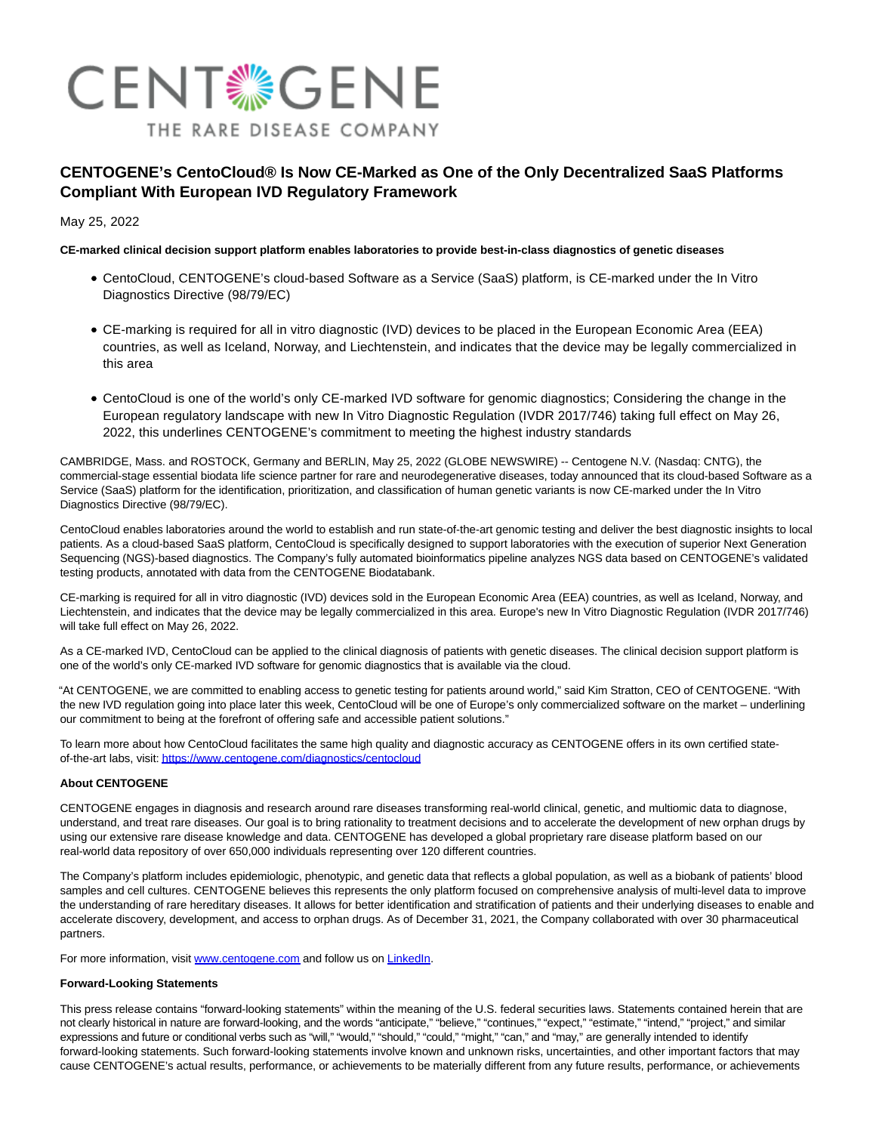

# **CENTOGENE's CentoCloud® Is Now CE-Marked as One of the Only Decentralized SaaS Platforms Compliant With European IVD Regulatory Framework**

May 25, 2022

## **CE-marked clinical decision support platform enables laboratories to provide best-in-class diagnostics of genetic diseases**

- CentoCloud, CENTOGENE's cloud-based Software as a Service (SaaS) platform, is CE-marked under the In Vitro Diagnostics Directive (98/79/EC)
- CE-marking is required for all in vitro diagnostic (IVD) devices to be placed in the European Economic Area (EEA) countries, as well as Iceland, Norway, and Liechtenstein, and indicates that the device may be legally commercialized in this area
- CentoCloud is one of the world's only CE-marked IVD software for genomic diagnostics; Considering the change in the European regulatory landscape with new In Vitro Diagnostic Regulation (IVDR 2017/746) taking full effect on May 26, 2022, this underlines CENTOGENE's commitment to meeting the highest industry standards

CAMBRIDGE, Mass. and ROSTOCK, Germany and BERLIN, May 25, 2022 (GLOBE NEWSWIRE) -- Centogene N.V. (Nasdaq: CNTG), the commercial-stage essential biodata life science partner for rare and neurodegenerative diseases, today announced that its cloud-based Software as a Service (SaaS) platform for the identification, prioritization, and classification of human genetic variants is now CE-marked under the In Vitro Diagnostics Directive (98/79/EC).

CentoCloud enables laboratories around the world to establish and run state-of-the-art genomic testing and deliver the best diagnostic insights to local patients. As a cloud-based SaaS platform, CentoCloud is specifically designed to support laboratories with the execution of superior Next Generation Sequencing (NGS)-based diagnostics. The Company's fully automated bioinformatics pipeline analyzes NGS data based on CENTOGENE's validated testing products, annotated with data from the CENTOGENE Biodatabank.

CE-marking is required for all in vitro diagnostic (IVD) devices sold in the European Economic Area (EEA) countries, as well as Iceland, Norway, and Liechtenstein, and indicates that the device may be legally commercialized in this area. Europe's new In Vitro Diagnostic Regulation (IVDR 2017/746) will take full effect on May 26, 2022.

As a CE-marked IVD, CentoCloud can be applied to the clinical diagnosis of patients with genetic diseases. The clinical decision support platform is one of the world's only CE-marked IVD software for genomic diagnostics that is available via the cloud.

"At CENTOGENE, we are committed to enabling access to genetic testing for patients around world," said Kim Stratton, CEO of CENTOGENE. "With the new IVD regulation going into place later this week, CentoCloud will be one of Europe's only commercialized software on the market – underlining our commitment to being at the forefront of offering safe and accessible patient solutions."

To learn more about how CentoCloud facilitates the same high quality and diagnostic accuracy as CENTOGENE offers in its own certified stateof-the-art labs, visit[: https://www.centogene.com/diagnostics/centocloud](https://www.globenewswire.com/Tracker?data=ZbZ6gx4Zd9FFukJ3fW2APzKSGfkYtQ4ZpC_U2FH7V2kjTOKJ-5Y0y1VuSdyGkKVuOr5bZCxi8RAmvo4BQIhgTo6XZ_WQHz83c-V8ogSF_sReHul3ecW-yWFKjL5djrj1Pm_fgrqfC5gGQVYtUmlmU2rxymJJb8qYgQCnAIEz6hM=)

### **About CENTOGENE**

CENTOGENE engages in diagnosis and research around rare diseases transforming real-world clinical, genetic, and multiomic data to diagnose, understand, and treat rare diseases. Our goal is to bring rationality to treatment decisions and to accelerate the development of new orphan drugs by using our extensive rare disease knowledge and data. CENTOGENE has developed a global proprietary rare disease platform based on our real-world data repository of over 650,000 individuals representing over 120 different countries.

The Company's platform includes epidemiologic, phenotypic, and genetic data that reflects a global population, as well as a biobank of patients' blood samples and cell cultures. CENTOGENE believes this represents the only platform focused on comprehensive analysis of multi-level data to improve the understanding of rare hereditary diseases. It allows for better identification and stratification of patients and their underlying diseases to enable and accelerate discovery, development, and access to orphan drugs. As of December 31, 2021, the Company collaborated with over 30 pharmaceutical partners.

For more information, visit [www.centogene.com a](https://www.globenewswire.com/Tracker?data=sns-cIVMGQyZVCJlgTXzADl_W7Js_TM4rwbd2HMF4LzYzLykBTPo44t8tOX-kbALtHw5nWUrfS2bpFHSJP9agw==)nd follow us on [LinkedIn.](https://www.globenewswire.com/Tracker?data=DZMT0r_2IpDzkPmS--uIrdm7KcZmxkhW2fljln7rRCE732ENMXQtYSRzvLC6WmV_Cr2szGGs6860oL3kVth1DH1wweXFs8vWHXsXKcFKvlE=)

### **Forward-Looking Statements**

This press release contains "forward-looking statements" within the meaning of the U.S. federal securities laws. Statements contained herein that are not clearly historical in nature are forward-looking, and the words "anticipate," "believe," "continues," "expect," "estimate," "intend," "project," and similar expressions and future or conditional verbs such as "will," "would," "should," "could," "might," "can," and "may," are generally intended to identify forward-looking statements. Such forward-looking statements involve known and unknown risks, uncertainties, and other important factors that may cause CENTOGENE's actual results, performance, or achievements to be materially different from any future results, performance, or achievements